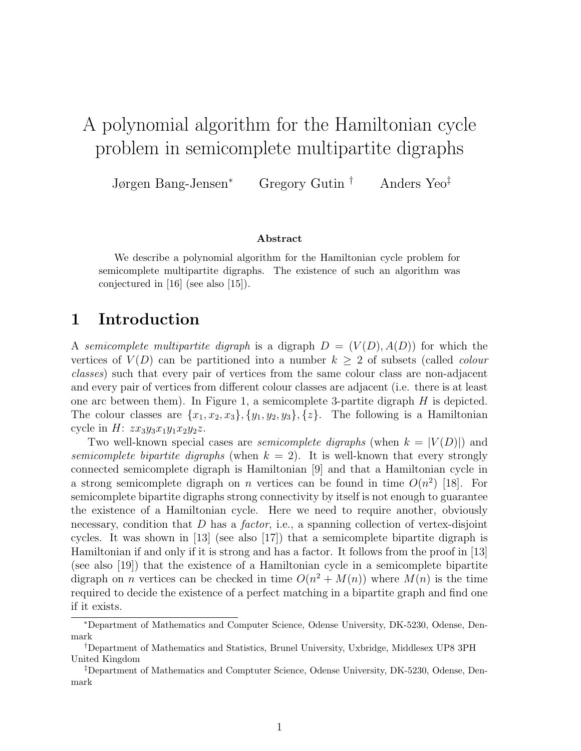# A polynomial algorithm for the Hamiltonian cycle problem in semicomplete multipartite digraphs

Jørgen Bang-Jensen<sup>∗</sup> Gregory Gutin † Anders Yeo‡

#### Abstract

We describe a polynomial algorithm for the Hamiltonian cycle problem for semicomplete multipartite digraphs. The existence of such an algorithm was conjectured in [16] (see also [15]).

## 1 Introduction

A semicomplete multipartite digraph is a digraph  $D = (V(D), A(D))$  for which the vertices of  $V(D)$  can be partitioned into a number  $k \geq 2$  of subsets (called *colour* classes) such that every pair of vertices from the same colour class are non-adjacent and every pair of vertices from different colour classes are adjacent (i.e. there is at least one arc between them). In Figure 1, a semicomplete 3-partite digraph  $H$  is depicted. The colour classes are  $\{x_1, x_2, x_3\}, \{y_1, y_2, y_3\}, \{z\}$ . The following is a Hamiltonian cycle in  $H: zx_3y_3x_1y_1x_2y_2z$ .

Two well-known special cases are *semicomplete digraphs* (when  $k = |V(D)|$ ) and semicomplete bipartite digraphs (when  $k = 2$ ). It is well-known that every strongly connected semicomplete digraph is Hamiltonian [9] and that a Hamiltonian cycle in a strong semicomplete digraph on *n* vertices can be found in time  $O(n^2)$  [18]. For semicomplete bipartite digraphs strong connectivity by itself is not enough to guarantee the existence of a Hamiltonian cycle. Here we need to require another, obviously necessary, condition that  $D$  has a *factor*, i.e., a spanning collection of vertex-disjoint cycles. It was shown in [13] (see also [17]) that a semicomplete bipartite digraph is Hamiltonian if and only if it is strong and has a factor. It follows from the proof in [13] (see also [19]) that the existence of a Hamiltonian cycle in a semicomplete bipartite digraph on *n* vertices can be checked in time  $O(n^2 + M(n))$  where  $M(n)$  is the time required to decide the existence of a perfect matching in a bipartite graph and find one if it exists.

<sup>∗</sup>Department of Mathematics and Computer Science, Odense University, DK-5230, Odense, Denmark

<sup>†</sup>Department of Mathematics and Statistics, Brunel University, Uxbridge, Middlesex UP8 3PH United Kingdom

<sup>‡</sup>Department of Mathematics and Comptuter Science, Odense University, DK-5230, Odense, Denmark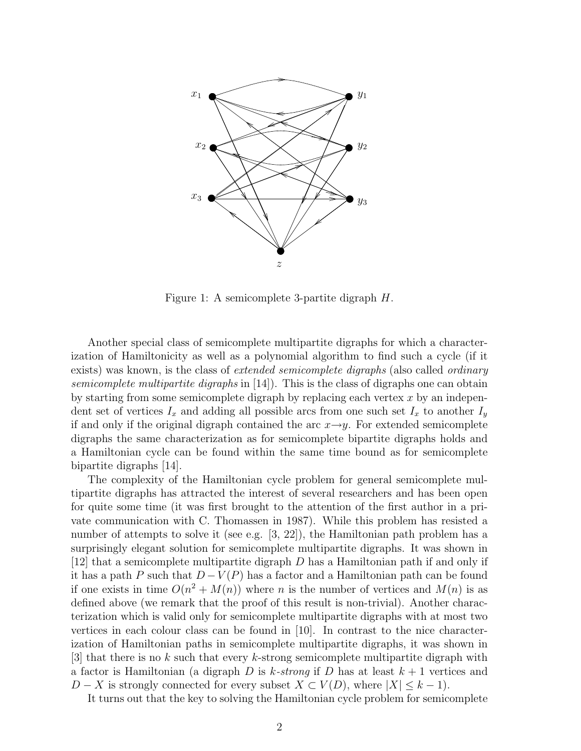

Figure 1: A semicomplete 3-partite digraph H.

Another special class of semicomplete multipartite digraphs for which a characterization of Hamiltonicity as well as a polynomial algorithm to find such a cycle (if it exists) was known, is the class of *extended semicomplete digraphs* (also called *ordinary* semicomplete multipartite digraphs in  $(14)$ . This is the class of digraphs one can obtain by starting from some semicomplete digraph by replacing each vertex  $x$  by an independent set of vertices  $I_x$  and adding all possible arcs from one such set  $I_x$  to another  $I_y$ if and only if the original digraph contained the arc  $x \rightarrow y$ . For extended semicomplete digraphs the same characterization as for semicomplete bipartite digraphs holds and a Hamiltonian cycle can be found within the same time bound as for semicomplete bipartite digraphs [14].

The complexity of the Hamiltonian cycle problem for general semicomplete multipartite digraphs has attracted the interest of several researchers and has been open for quite some time (it was first brought to the attention of the first author in a private communication with C. Thomassen in 1987). While this problem has resisted a number of attempts to solve it (see e.g. [3, 22]), the Hamiltonian path problem has a surprisingly elegant solution for semicomplete multipartite digraphs. It was shown in [12] that a semicomplete multipartite digraph D has a Hamiltonian path if and only if it has a path P such that  $D - V(P)$  has a factor and a Hamiltonian path can be found if one exists in time  $O(n^2 + M(n))$  where n is the number of vertices and  $M(n)$  is as defined above (we remark that the proof of this result is non-trivial). Another characterization which is valid only for semicomplete multipartite digraphs with at most two vertices in each colour class can be found in [10]. In contrast to the nice characterization of Hamiltonian paths in semicomplete multipartite digraphs, it was shown in [3] that there is no k such that every k-strong semicomplete multipartite digraph with a factor is Hamiltonian (a digraph D is k-strong if D has at least  $k+1$  vertices and  $D - X$  is strongly connected for every subset  $X \subset V(D)$ , where  $|X| \leq k - 1$ .

It turns out that the key to solving the Hamiltonian cycle problem for semicomplete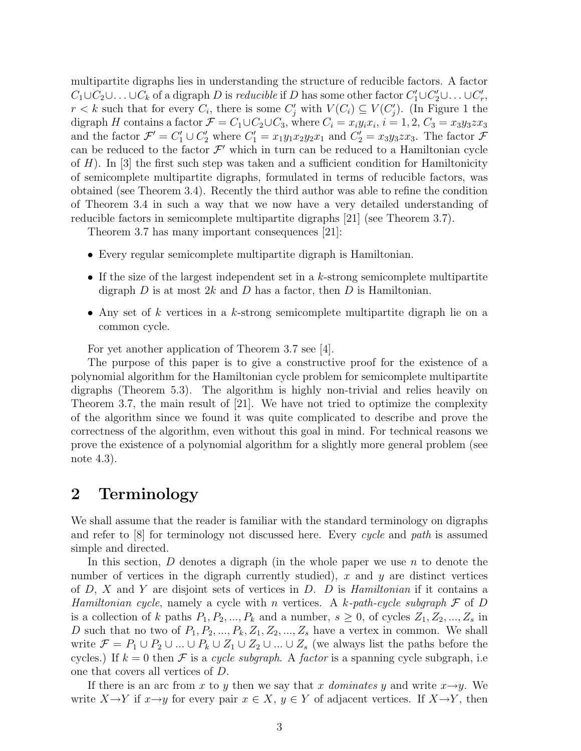multipartite digraphs lies in understanding the structure of reducible factors. A factor  $C_1 \cup C_2 \cup \ldots \cup C_k$  of a digraph D is reducible if D has some other factor  $C'_1 \cup C'_2 \cup \ldots \cup C'_r$ ,  $r < k$  such that for every  $C_i$ , there is some  $C'_j$  with  $V(C_i) \subseteq V(C'_j)$ . (In Figure 1 the digraph H contains a factor  $\mathcal{F} = C_1 \cup C_2 \cup C_3$ , where  $C_i = x_i y_i x_i$ ,  $i = 1, 2, C_3 = x_3 y_3 z x_3$ and the factor  $\mathcal{F}' = C'_1 \cup C'_2$  where  $C'_1 = x_1y_1x_2y_2x_1$  and  $C'_2 = x_3y_3z_3$ . The factor  $\mathcal{F}$ can be reduced to the factor  $\mathcal{F}'$  which in turn can be reduced to a Hamiltonian cycle of  $H$ ). In [3] the first such step was taken and a sufficient condition for Hamiltonicity of semicomplete multipartite digraphs, formulated in terms of reducible factors, was obtained (see Theorem 3.4). Recently the third author was able to refine the condition of Theorem 3.4 in such a way that we now have a very detailed understanding of reducible factors in semicomplete multipartite digraphs [21] (see Theorem 3.7).

Theorem 3.7 has many important consequences [21]:

- Every regular semicomplete multipartite digraph is Hamiltonian.
- If the size of the largest independent set in a k-strong semicomplete multipartite digraph D is at most 2k and D has a factor, then D is Hamiltonian.
- Any set of k vertices in a k-strong semicomplete multipartite digraph lie on a common cycle.

For yet another application of Theorem 3.7 see [4].

The purpose of this paper is to give a constructive proof for the existence of a polynomial algorithm for the Hamiltonian cycle problem for semicomplete multipartite digraphs (Theorem 5.3). The algorithm is highly non-trivial and relies heavily on Theorem 3.7, the main result of [21]. We have not tried to optimize the complexity of the algorithm since we found it was quite complicated to describe and prove the correctness of the algorithm, even without this goal in mind. For technical reasons we prove the existence of a polynomial algorithm for a slightly more general problem (see note 4.3).

### 2 Terminology

We shall assume that the reader is familiar with the standard terminology on digraphs and refer to  $|8|$  for terminology not discussed here. Every cycle and path is assumed simple and directed.

In this section,  $D$  denotes a digraph (in the whole paper we use  $n$  to denote the number of vertices in the digraph currently studied),  $x$  and  $y$  are distinct vertices of  $D$ ,  $X$  and  $Y$  are disjoint sets of vertices in  $D$ .  $D$  is *Hamiltonian* if it contains a Hamiltonian cycle, namely a cycle with n vertices. A k-path-cycle subgraph  $\mathcal F$  of D is a collection of k paths  $P_1, P_2, ..., P_k$  and a number,  $s \geq 0$ , of cycles  $Z_1, Z_2, ..., Z_s$  in D such that no two of  $P_1, P_2, ..., P_k, Z_1, Z_2, ..., Z_s$  have a vertex in common. We shall write  $\mathcal{F} = P_1 \cup P_2 \cup ... \cup P_k \cup Z_1 \cup Z_2 \cup ... \cup Z_s$  (we always list the paths before the cycles.) If  $k = 0$  then F is a cycle subgraph. A factor is a spanning cycle subgraph, i.e one that covers all vertices of D.

If there is an arc from x to y then we say that x dominates y and write  $x \rightarrow y$ . We write  $X \to Y$  if  $x \to y$  for every pair  $x \in X$ ,  $y \in Y$  of adjacent vertices. If  $X \to Y$ , then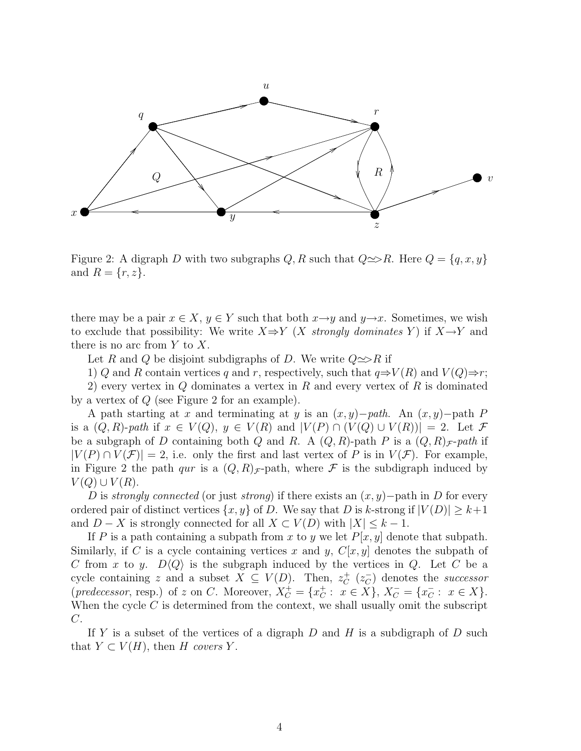

Figure 2: A digraph D with two subgraphs  $Q, R$  such that  $Q \implies R$ . Here  $Q = \{q, x, y\}$ and  $R = \{r, z\}.$ 

there may be a pair  $x \in X$ ,  $y \in Y$  such that both  $x \rightarrow y$  and  $y \rightarrow x$ . Sometimes, we wish to exclude that possibility: We write  $X \Rightarrow Y$  (X strongly dominates Y) if  $X \rightarrow Y$  and there is no arc from  $Y$  to  $X$ .

Let R and Q be disjoint subdigraphs of D. We write  $Q \implies R$  if

1) Q and R contain vertices q and r, respectively, such that  $q \Rightarrow V(R)$  and  $V(Q) \Rightarrow r$ ;

2) every vertex in  $Q$  dominates a vertex in  $R$  and every vertex of  $R$  is dominated by a vertex of Q (see Figure 2 for an example).

A path starting at x and terminating at y is an  $(x, y)$ –path. An  $(x, y)$ –path P is a  $(Q, R)$ -path if  $x \in V(Q)$ ,  $y \in V(R)$  and  $|V(P) \cap (V(Q) \cup V(R))| = 2$ . Let  $\mathcal F$ be a subgraph of D containing both Q and R. A  $(Q, R)$ -path P is a  $(Q, R)_{\mathcal{F}}$ -path if  $|V(P) \cap V(\mathcal{F})| = 2$ , i.e. only the first and last vertex of P is in  $V(\mathcal{F})$ . For example, in Figure 2 the path *qur* is a  $(Q, R)_{\mathcal{F}}$ -path, where  $\mathcal F$  is the subdigraph induced by  $V(Q) \cup V(R)$ .

D is strongly connected (or just strong) if there exists an  $(x, y)$ −path in D for every ordered pair of distinct vertices  $\{x, y\}$  of D. We say that D is k-strong if  $|V(D)| \geq k+1$ and  $D - X$  is strongly connected for all  $X \subset V(D)$  with  $|X| \leq k - 1$ .

If P is a path containing a subpath from x to y we let  $P[x, y]$  denote that subpath. Similarly, if C is a cycle containing vertices x and y,  $C[x, y]$  denotes the subpath of C from x to y.  $D\langle Q \rangle$  is the subgraph induced by the vertices in Q. Let C be a cycle containing z and a subset  $X \subseteq V(D)$ . Then,  $z_C^+(z_C^-)$  denotes the successor  $(predecessary, resp.)$  of z on C. Moreover,  $X_C^+ = \{x_C^+ : x \in X\}, X_C^- = \{x_C^- : x \in X\}.$ When the cycle  $C$  is determined from the context, we shall usually omit the subscript C.

If Y is a subset of the vertices of a digraph  $D$  and  $H$  is a subdigraph of  $D$  such that  $Y \subset V(H)$ , then H covers Y.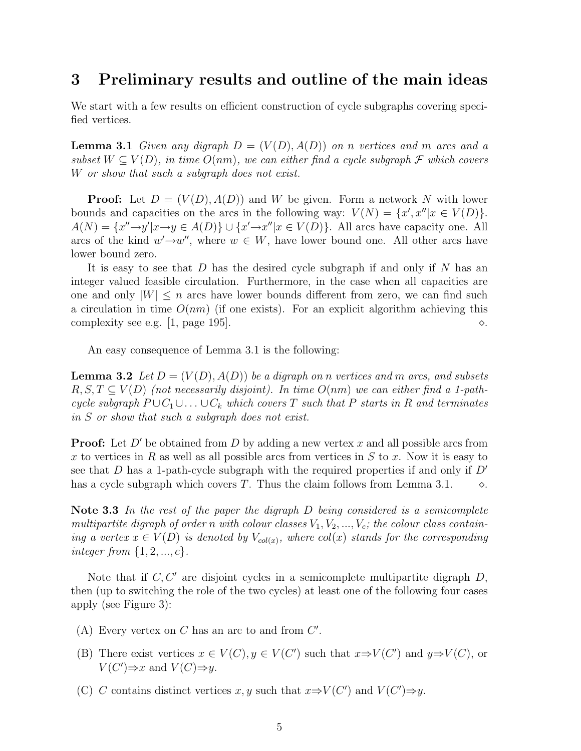### 3 Preliminary results and outline of the main ideas

We start with a few results on efficient construction of cycle subgraphs covering specified vertices.

**Lemma 3.1** Given any digraph  $D = (V(D), A(D))$  on n vertices and m arcs and a subset  $W \subseteq V(D)$ , in time  $O(nm)$ , we can either find a cycle subgraph  $\mathcal F$  which covers W or show that such a subgraph does not exist.

**Proof:** Let  $D = (V(D), A(D))$  and W be given. Form a network N with lower bounds and capacities on the arcs in the following way:  $V(N) = \{x', x'' | x \in V(D) \}.$  $A(N) = \{x'' \rightarrow y' | x \rightarrow y \in A(D)\} \cup \{x' \rightarrow x'' | x \in V(D)\}.$  All arcs have capacity one. All arcs of the kind  $w' \rightarrow w''$ , where  $w \in W$ , have lower bound one. All other arcs have lower bound zero.

It is easy to see that  $D$  has the desired cycle subgraph if and only if  $N$  has an integer valued feasible circulation. Furthermore, in the case when all capacities are one and only  $|W| \leq n$  arcs have lower bounds different from zero, we can find such a circulation in time  $O(nm)$  (if one exists). For an explicit algorithm achieving this complexity see e.g. [1, page 195].  $\Diamond$ .

An easy consequence of Lemma 3.1 is the following:

**Lemma 3.2** Let  $D = (V(D), A(D))$  be a digraph on n vertices and m arcs, and subsets  $R, S, T \subseteq V(D)$  (not necessarily disjoint). In time  $O(nm)$  we can either find a 1-pathcycle subgraph  $P \cup C_1 \cup \ldots \cup C_k$  which covers T such that P starts in R and terminates in S or show that such a subgraph does not exist.

**Proof:** Let  $D'$  be obtained from D by adding a new vertex x and all possible arcs from x to vertices in R as well as all possible arcs from vertices in S to x. Now it is easy to see that D has a 1-path-cycle subgraph with the required properties if and only if  $D'$ has a cycle subgraph which covers T. Thus the claim follows from Lemma 3.1.  $\Diamond$ .

Note 3.3 In the rest of the paper the digraph D being considered is a semicomplete multipartite digraph of order n with colour classes  $V_1, V_2, ..., V_c$ ; the colour class containing a vertex  $x \in V(D)$  is denoted by  $V_{col(x)}$ , where  $col(x)$  stands for the corresponding integer from  $\{1, 2, ..., c\}$ .

Note that if  $C, C'$  are disjoint cycles in a semicomplete multipartite digraph  $D$ , then (up to switching the role of the two cycles) at least one of the following four cases apply (see Figure 3):

- (A) Every vertex on  $C$  has an arc to and from  $C'$ .
- (B) There exist vertices  $x \in V(C)$ ,  $y \in V(C')$  such that  $x \Rightarrow V(C')$  and  $y \Rightarrow V(C)$ , or  $V(C') \Rightarrow x$  and  $V(C) \Rightarrow y$ .
- (C) C contains distinct vertices x, y such that  $x \Rightarrow V(C')$  and  $V(C') \Rightarrow y$ .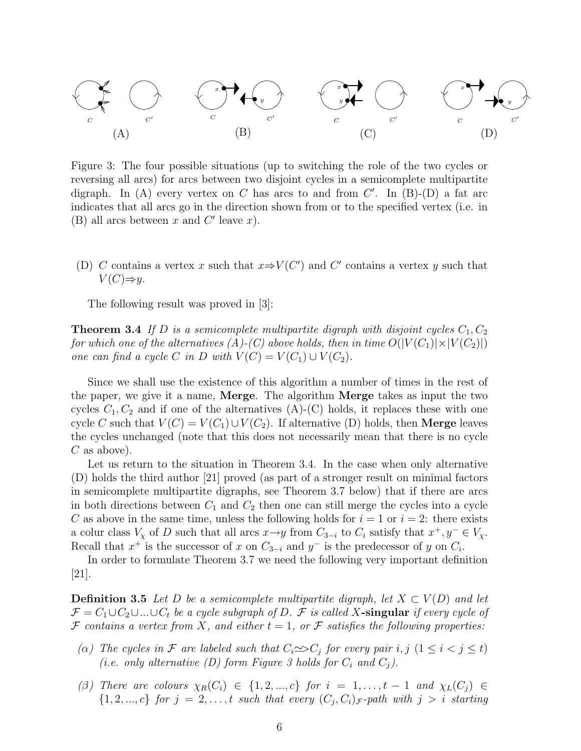

Figure 3: The four possible situations (up to switching the role of the two cycles or reversing all arcs) for arcs between two disjoint cycles in a semicomplete multipartite digraph. In (A) every vertex on C has arcs to and from  $C'$ . In (B)-(D) a fat arc indicates that all arcs go in the direction shown from or to the specified vertex (i.e. in (B) all arcs between  $x$  and  $C'$  leave  $x$ ).

(D) C contains a vertex x such that  $x \Rightarrow V(C')$  and C' contains a vertex y such that  $V(C) \Rightarrow y$ .

The following result was proved in [3]:

**Theorem 3.4** If D is a semicomplete multipartite digraph with disjoint cycles  $C_1, C_2$ for which one of the alternatives  $(A)$ - $(C)$  above holds, then in time  $O(|V(C_1)| \times |V(C_2)|)$ one can find a cycle C in D with  $V(C) = V(C_1) \cup V(C_2)$ .

Since we shall use the existence of this algorithm a number of times in the rest of the paper, we give it a name, Merge. The algorithm Merge takes as input the two cycles  $C_1, C_2$  and if one of the alternatives  $(A)$ - $(C)$  holds, it replaces these with one cycle C such that  $V(C) = V(C_1) \cup V(C_2)$ . If alternative (D) holds, then **Merge** leaves the cycles unchanged (note that this does not necessarily mean that there is no cycle  $C$  as above).

Let us return to the situation in Theorem 3.4. In the case when only alternative (D) holds the third author [21] proved (as part of a stronger result on minimal factors in semicomplete multipartite digraphs, see Theorem 3.7 below) that if there are arcs in both directions between  $C_1$  and  $C_2$  then one can still merge the cycles into a cycle C as above in the same time, unless the following holds for  $i = 1$  or  $i = 2$ : there exists a colur class  $V_x$  of D such that all arcs  $x \to y$  from  $C_{3-i}$  to  $C_i$  satisfy that  $x^+, y^- \in V_x$ . Recall that  $x^+$  is the successor of x on  $C_{3-i}$  and  $y^-$  is the predecessor of y on  $C_i$ .

In order to formulate Theorem 3.7 we need the following very important definition [21].

**Definition 3.5** Let D be a semicomplete multipartite digraph, let  $X \subset V(D)$  and let  $\mathcal{F} = C_1 \cup C_2 \cup ... \cup C_t$  be a cycle subgraph of D. F is called X-singular if every cycle of  $\mathcal F$  contains a vertex from X, and either  $t = 1$ , or  $\mathcal F$  satisfies the following properties:

- (a) The cycles in F are labeled such that  $C_i \infty C_j$  for every pair i, j  $(1 \leq i < j \leq t)$ (i.e. only alternative (D) form Figure 3 holds for  $C_i$  and  $C_j$ ).
- (β) There are colours  $\chi_R(C_i) \in \{1, 2, ..., c\}$  for  $i = 1, ..., t-1$  and  $\chi_L(C_i) \in$  $\{1, 2, ..., c\}$  for  $j = 2, ..., t$  such that every  $(C_j, C_i)_{\mathcal{F}}$ -path with  $j > i$  starting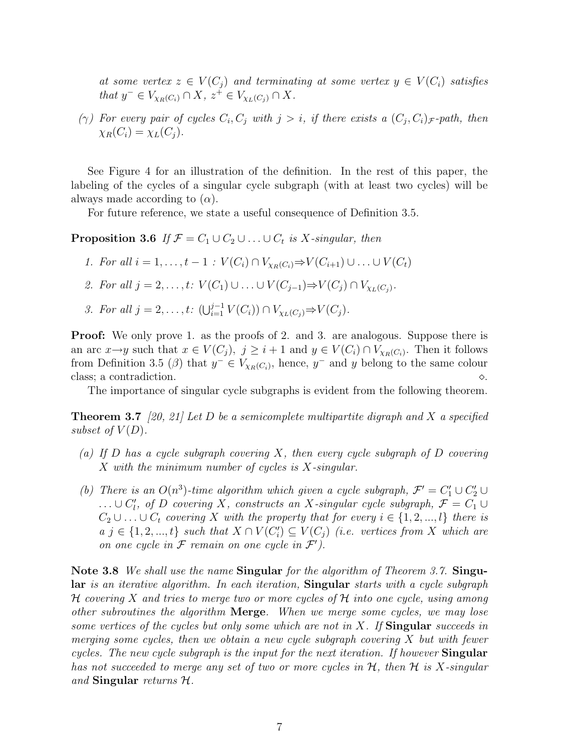at some vertex  $z \in V(C_i)$  and terminating at some vertex  $y \in V(C_i)$  satisfies that  $y^- \in V_{\chi_R(C_i)} \cap X$ ,  $z^+ \in V_{\chi_L(C_j)} \cap X$ .

( $\gamma$ ) For every pair of cycles  $C_i, C_j$  with  $j > i$ , if there exists a  $(C_j, C_i)_{\mathcal{F}}$ -path, then  $\chi_R(C_i) = \chi_L(C_j).$ 

See Figure 4 for an illustration of the definition. In the rest of this paper, the labeling of the cycles of a singular cycle subgraph (with at least two cycles) will be always made according to  $(\alpha)$ .

For future reference, we state a useful consequence of Definition 3.5.

**Proposition 3.6** If  $\mathcal{F} = C_1 \cup C_2 \cup ... \cup C_t$  is X-singular, then

- 1. For all  $i = 1, ..., t 1 : V(C_i) \cap V_{Y_P(C_i)} \Rightarrow V(C_{i+1}) \cup ... \cup V(C_t)$
- 2. For all  $j = 2, ..., t: V(C_1) \cup ... \cup V(C_{j-1}) \Rightarrow V(C_j) \cap V_{\chi_L(C_j)}$ .
- 3. For all  $j = 2, ..., t$ :  $(\bigcup_{i=1}^{j-1} V(C_i)) \cap V_{\chi_L(C_j)} \Rightarrow V(C_j)$ .

Proof: We only prove 1. as the proofs of 2. and 3. are analogous. Suppose there is an arc  $x \to y$  such that  $x \in V(C_j)$ ,  $j \geq i+1$  and  $y \in V(C_i) \cap V_{\chi_R(C_i)}$ . Then it follows from Definition 3.5 ( $\beta$ ) that  $y^- \in V_{\chi_R(C_i)}$ , hence,  $y^-$  and y belong to the same colour class; a contradiction.  $\Diamond$ .

The importance of singular cycle subgraphs is evident from the following theorem.

**Theorem 3.7** [20, 21] Let D be a semicomplete multipartite digraph and X a specified subset of  $V(D)$ .

- (a) If D has a cycle subgraph covering X, then every cycle subgraph of D covering X with the minimum number of cycles is X-singular.
- (b) There is an  $O(n^3)$ -time algorithm which given a cycle subgraph,  $\mathcal{F}' = C_1' \cup C_2' \cup$  $\ldots \cup C'_{l}$ , of D covering X, constructs an X-singular cycle subgraph,  $\mathcal{F} = C_1 \cup$  $C_2 \cup \ldots \cup C_t$  covering X with the property that for every  $i \in \{1, 2, ..., l\}$  there is  $a \, j \in \{1, 2, ..., t\}$  such that  $X \cap V(C_i') \subseteq V(C_j)$  (i.e. vertices from X which are on one cycle in  $\mathcal F$  remain on one cycle in  $\mathcal F'$ ).

Note 3.8 We shall use the name Singular for the algorithm of Theorem 3.7. Singular is an iterative algorithm. In each iteration, Singular starts with a cycle subgraph H covering X and tries to merge two or more cycles of H into one cycle, using among other subroutines the algorithm Merge. When we merge some cycles, we may lose some vertices of the cycles but only some which are not in  $X$ . If Singular succeeds in merging some cycles, then we obtain a new cycle subgraph covering  $X$  but with fewer cycles. The new cycle subgraph is the input for the next iteration. If however **Singular** has not succeeded to merge any set of two or more cycles in  $H$ , then  $H$  is X-singular and Singular returns  $H$ .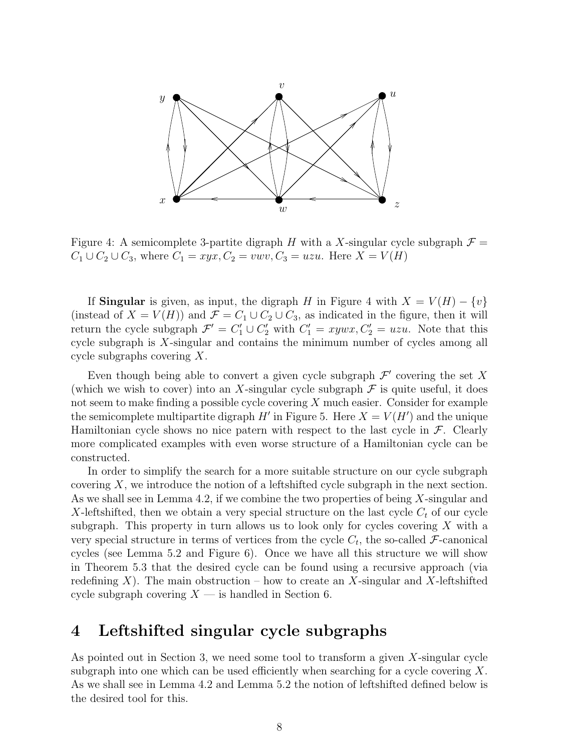

Figure 4: A semicomplete 3-partite digraph H with a X-singular cycle subgraph  $\mathcal{F} =$  $C_1 \cup C_2 \cup C_3$ , where  $C_1 = xyx, C_2 = v w v, C_3 = u z u$ . Here  $X = V(H)$ 

If Singular is given, as input, the digraph H in Figure 4 with  $X = V(H) - \{v\}$ (instead of  $X = V(H)$ ) and  $\mathcal{F} = C_1 \cup C_2 \cup C_3$ , as indicated in the figure, then it will return the cycle subgraph  $\mathcal{F}' = C'_1 \cup C'_2$  with  $C'_1 = xywx, C'_2 = uzu$ . Note that this cycle subgraph is X-singular and contains the minimum number of cycles among all cycle subgraphs covering X.

Even though being able to convert a given cycle subgraph  $\mathcal{F}'$  covering the set X (which we wish to cover) into an X-singular cycle subgraph  $\mathcal F$  is quite useful, it does not seem to make finding a possible cycle covering  $X$  much easier. Consider for example the semicomplete multipartite digraph  $H'$  in Figure 5. Here  $X = V(H')$  and the unique Hamiltonian cycle shows no nice patern with respect to the last cycle in  $\mathcal{F}$ . Clearly more complicated examples with even worse structure of a Hamiltonian cycle can be constructed.

In order to simplify the search for a more suitable structure on our cycle subgraph covering  $X$ , we introduce the notion of a leftshifted cycle subgraph in the next section. As we shall see in Lemma 4.2, if we combine the two properties of being X-singular and X-leftshifted, then we obtain a very special structure on the last cycle  $C_t$  of our cycle subgraph. This property in turn allows us to look only for cycles covering  $X$  with a very special structure in terms of vertices from the cycle  $C_t$ , the so-called  $\mathcal{F}\text{-}$ canonical cycles (see Lemma 5.2 and Figure 6). Once we have all this structure we will show in Theorem 5.3 that the desired cycle can be found using a recursive approach (via redefining X). The main obstruction – how to create an X-singular and X-leftshifted cycle subgraph covering  $X$  — is handled in Section 6.

## 4 Leftshifted singular cycle subgraphs

As pointed out in Section 3, we need some tool to transform a given  $X$ -singular cycle subgraph into one which can be used efficiently when searching for a cycle covering  $X$ . As we shall see in Lemma 4.2 and Lemma 5.2 the notion of leftshifted defined below is the desired tool for this.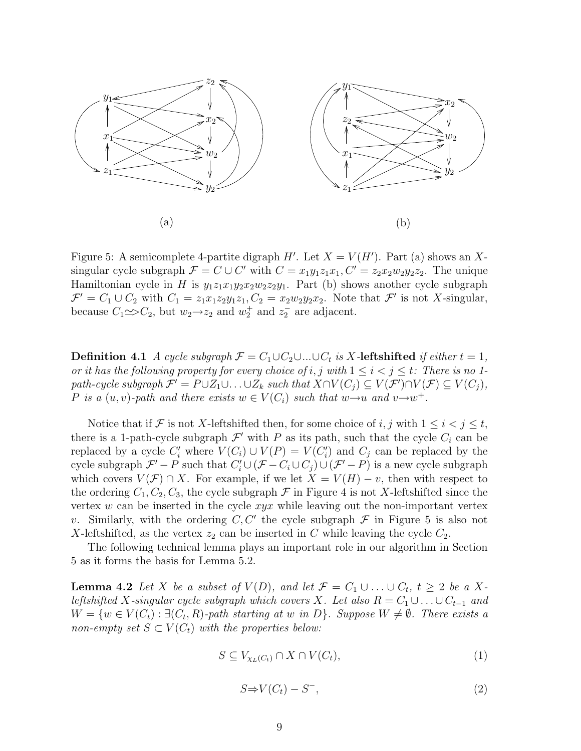

Figure 5: A semicomplete 4-partite digraph  $H'$ . Let  $X = V(H')$ . Part (a) shows an Xsingular cycle subgraph  $\mathcal{F} = C \cup C'$  with  $C = x_1y_1z_1x_1, C' = z_2x_2w_2y_2z_2$ . The unique Hamiltonian cycle in H is  $y_1z_1x_1y_2x_2w_2z_2y_1$ . Part (b) shows another cycle subgraph  $\mathcal{F}' = C_1 \cup C_2$  with  $C_1 = z_1x_1z_2y_1z_1, C_2 = x_2w_2y_2x_2$ . Note that  $\mathcal{F}'$  is not X-singular, because  $C_1 \infty C_2$ , but  $w_2 \rightarrow z_2$  and  $w_2^+$  and  $z_2^-$  are adjacent.

**Definition 4.1** A cycle subgraph  $\mathcal{F} = C_1 \cup C_2 \cup ... \cup C_t$  is X-leftshifted if either  $t = 1$ , or it has the following property for every choice of i, j with  $1 \leq i < j \leq t$ : There is no 1path-cycle subgraph  $\mathcal{F}' = P \cup Z_1 \cup \ldots \cup Z_k$  such that  $X \cap V(C_j) \subseteq V(\mathcal{F}') \cap V(\mathcal{F}) \subseteq V(C_j)$ , P is a  $(u, v)$ -path and there exists  $w \in V(C_i)$  such that  $w \rightarrow u$  and  $v \rightarrow w^+$ .

Notice that if F is not X-leftshifted then, for some choice of i, j with  $1 \leq i < j \leq t$ , there is a 1-path-cycle subgraph  $\mathcal{F}'$  with P as its path, such that the cycle  $C_i$  can be replaced by a cycle  $C_i'$  where  $V(C_i) \cup V(P) = V(C_i')$  and  $C_j$  can be replaced by the cycle subgraph  $\mathcal{F}' - P$  such that  $C'_i \cup (\mathcal{F} - C_i \cup C_j) \cup (\mathcal{F}' - P)$  is a new cycle subgraph which covers  $V(\mathcal{F}) \cap X$ . For example, if we let  $X = V(H) - v$ , then with respect to the ordering  $C_1, C_2, C_3$ , the cycle subgraph  $\mathcal F$  in Figure 4 is not X-leftshifted since the vertex  $w$  can be inserted in the cycle  $xyx$  while leaving out the non-important vertex v. Similarly, with the ordering  $C, C'$  the cycle subgraph  $\mathcal F$  in Figure 5 is also not X-leftshifted, as the vertex  $z_2$  can be inserted in C while leaving the cycle  $C_2$ .

The following technical lemma plays an important role in our algorithm in Section 5 as it forms the basis for Lemma 5.2.

**Lemma 4.2** Let X be a subset of  $V(D)$ , and let  $\mathcal{F} = C_1 \cup ... \cup C_t$ ,  $t \geq 2$  be a Xleftshifted X-singular cycle subgraph which covers X. Let also  $R = C_1 \cup ... \cup C_{t-1}$  and  $W = \{w \in V(C_t) : \exists (C_t, R)$ -path starting at w in D $\}$ . Suppose  $W \neq \emptyset$ . There exists a non-empty set  $S \subset V(C_t)$  with the properties below:

$$
S \subseteq V_{\chi_L(C_t)} \cap X \cap V(C_t),\tag{1}
$$

$$
S \Rightarrow V(C_t) - S^-, \tag{2}
$$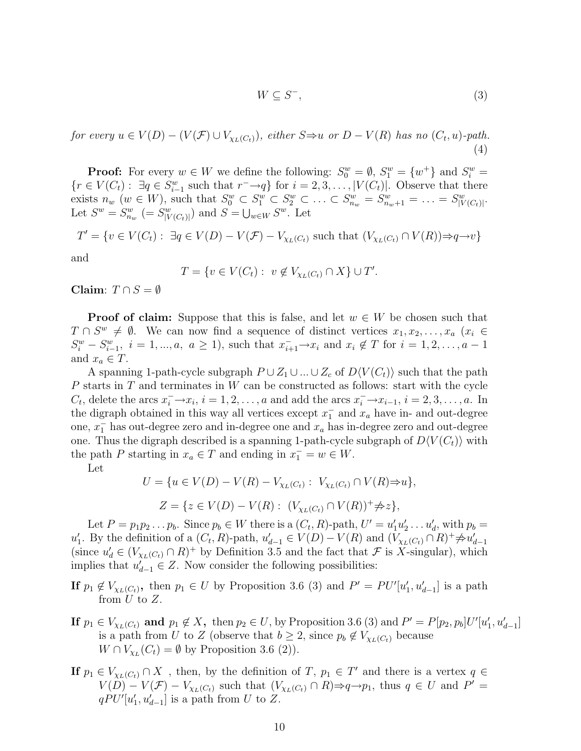$$
W \subseteq S^-, \tag{3}
$$

for every  $u \in V(D) - (V(\mathcal{F}) \cup V_{\chi_L(C_t)})$ , either  $S \Rightarrow u$  or  $D - V(R)$  has no  $(C_t, u)$ -path. (4)

**Proof:** For every  $w \in W$  we define the following:  $S_0^w = \emptyset$ ,  $S_1^w = \{w^+\}$  and  $S_i^w = \{w^+\}$  $\{r \in V(C_t): \exists q \in S_{i-1}^w \text{ such that } r^- \rightarrow q\} \text{ for } i = 2, 3, \ldots, |V(C_t)|. \text{ Observe that there}$ exists  $n_w$  ( $w \in W$ ), such that  $S_0^w \subset S_1^w \subset S_2^w \subset \ldots \subset S_{n_w}^w = S_{n_w+1}^w = \ldots = S_{|V(C_t)|}^w$ . Let  $S^w = S_{n_w}^w$  (=  $S_{|V(C_t)|}^w$ ) and  $S = \bigcup_{w \in W} S^w$ . Let

$$
T' = \{ v \in V(C_t) : \exists q \in V(D) - V(\mathcal{F}) - V_{\chi_L(C_t)} \text{ such that } (V_{\chi_L(C_t)} \cap V(R)) \Rightarrow q \to v \}
$$

and

$$
T = \{ v \in V(C_t) : v \notin V_{\chi_L(C_t)} \cap X \} \cup T'.
$$

Claim:  $T \cap S = \emptyset$ 

**Proof of claim:** Suppose that this is false, and let  $w \in W$  be chosen such that  $T \cap S^w \neq \emptyset$ . We can now find a sequence of distinct vertices  $x_1, x_2, \ldots, x_a$   $(x_i \in$  $S_i^w - S_{i-1}^w$ ,  $i = 1, ..., a, a \ge 1$ , such that  $x_{i+1}^- \to x_i$  and  $x_i \notin T$  for  $i = 1, 2, ..., a - 1$ and  $x_a \in T$ .

A spanning 1-path-cycle subgraph  $P \cup Z_1 \cup ... \cup Z_c$  of  $D\langle V(C_t) \rangle$  such that the path P starts in  $T$  and terminates in  $W$  can be constructed as follows: start with the cycle  $C_t$ , delete the arcs  $x_i^- \rightarrow x_i$ ,  $i = 1, 2, \ldots, a$  and add the arcs  $x_i^- \rightarrow x_{i-1}$ ,  $i = 2, 3, \ldots, a$ . In the digraph obtained in this way all vertices except  $x_1^-$  and  $x_a$  have in- and out-degree one,  $x_1^-$  has out-degree zero and in-degree one and  $x_a$  has in-degree zero and out-degree one. Thus the digraph described is a spanning 1-path-cycle subgraph of  $D\langle V(C_t)\rangle$  with the path P starting in  $x_a \in T$  and ending in  $x_1^- = w \in W$ .

Let

$$
U = \{ u \in V(D) - V(R) - V_{\chi_L(C_t)} : V_{\chi_L(C_t)} \cap V(R) \Rightarrow u \},
$$
  

$$
Z = \{ z \in V(D) - V(R) : (V_{\chi_L(C_t)} \cap V(R))^+ \neq z \},
$$

Let  $P = p_1 p_2 \dots p_b$ . Since  $p_b \in W$  there is a  $(C_t, R)$ -path,  $U' = u'_1 u'_2 \dots u'_d$ , with  $p_b =$  $u'_1$ . By the definition of a  $(C_t, R)$ -path,  $u'_{d-1} \in V(D) - V(R)$  and  $(V_{\chi_L(C_t)} \cap R)^+ \neq u'_{d-1}$ (since  $u'_d \in (V_{\chi_L(C_t)} \cap R)^+$  by Definition 3.5 and the fact that  $\mathcal F$  is X-singular), which implies that  $u'_{d-1} \in Z$ . Now consider the following possibilities:

If  $p_1 \notin V_{\chi_L(C_t)}$ , then  $p_1 \in U$  by Proposition 3.6 (3) and  $P' = PU'[u'_1, u'_{d-1}]$  is a path from  $U$  to  $Z$ .

- If  $p_1 \in V_{\chi_L(C_t)}$  and  $p_1 \notin X$ , then  $p_2 \in U$ , by Proposition 3.6 (3) and  $P' = P[p_2, p_b]U'[u'_1, u'_{d-1}]$ is a path from U to Z (observe that  $b \geq 2$ , since  $p_b \notin V_{\chi_L(C_t)}$  because  $W \cap V_{\chi_L}(C_t) = \emptyset$  by Proposition 3.6 (2)).
- If  $p_1 \in V_{\chi_L(C_t)} \cap X$ , then, by the definition of T,  $p_1 \in T'$  and there is a vertex  $q \in$  $V(D) - V(\mathcal{F}) - V_{\chi_L(C_t)}$  such that  $(V_{\chi_L(C_t)} \cap R) \Rightarrow q \rightarrow p_1$ , thus  $q \in U$  and  $P' =$  $qPU'[u'_1, u'_{d-1}]$  is a path from U to Z.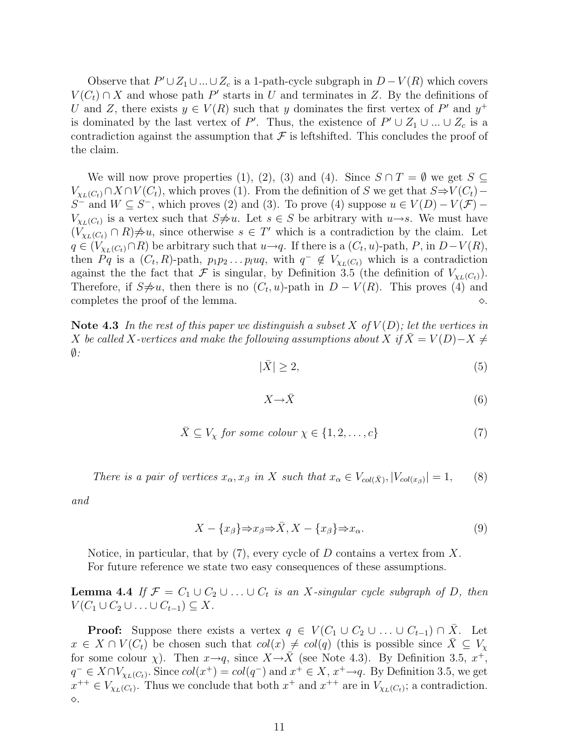Observe that  $P' \cup Z_1 \cup ... \cup Z_c$  is a 1-path-cycle subgraph in  $D - V(R)$  which covers  $V(C_t) \cap X$  and whose path P' starts in U and terminates in Z. By the definitions of U and Z, there exists  $y \in V(R)$  such that y dominates the first vertex of P' and  $y^+$ is dominated by the last vertex of P'. Thus, the existence of  $P' \cup Z_1 \cup ... \cup Z_c$  is a contradiction against the assumption that  $\mathcal F$  is leftshifted. This concludes the proof of the claim.

We will now prove properties (1), (2), (3) and (4). Since  $S \cap T = \emptyset$  we get  $S \subseteq$  $V_{\chi_L(C_t)} \cap X \cap V(C_t)$ , which proves (1). From the definition of S we get that  $S \Rightarrow V(C_t)$  – S<sup>-</sup> and  $W \subseteq S$ <sup>-</sup>, which proves (2) and (3). To prove (4) suppose  $u \in V(D) - V(\mathcal{F})$  $V_{\chi_L(C_t)}$  is a vertex such that  $S\neq u$ . Let  $s \in S$  be arbitrary with  $u\rightarrow s$ . We must have  $(V_{\chi_L(C_t)} \cap R) \neq u$ , since otherwise  $s \in T'$  which is a contradiction by the claim. Let  $q \in (V_{\chi_L(C_t)} \cap R)$  be arbitrary such that  $u \to q$ . If there is a  $(C_t, u)$ -path, P, in  $D-V(R)$ , then Pq is a  $(C_t, R)$ -path,  $p_1p_2 \ldots p_l u_q$ , with  $q^- \notin V_{\chi_L(C_t)}$  which is a contradiction against the the fact that F is singular, by Definition 3.5 (the definition of  $V_{\chi_L(C_t)}$ ). Therefore, if  $S\neq u$ , then there is no  $(C_t, u)$ -path in  $D - V(R)$ . This proves (4) and completes the proof of the lemma.  $\Diamond$ .

Note 4.3 In the rest of this paper we distinguish a subset X of  $V(D)$ ; let the vertices in X be called X-vertices and make the following assumptions about X if  $\overline{X} = V(D) - X \neq$  $\emptyset$ :

$$
|\bar{X}| \ge 2,\tag{5}
$$

$$
X \to \bar{X} \tag{6}
$$

$$
\bar{X} \subseteq V_{\chi} \text{ for some colour } \chi \in \{1, 2, \dots, c\} \tag{7}
$$

There is a pair of vertices 
$$
x_{\alpha}, x_{\beta}
$$
 in X such that  $x_{\alpha} \in V_{col(\bar{X})}, |V_{col(x_{\beta})}| = 1,$  (8)

and

$$
X - \{x_{\beta}\} \Rightarrow x_{\beta} \Rightarrow \bar{X}, X - \{x_{\beta}\} \Rightarrow x_{\alpha}.
$$
\n
$$
(9)
$$

Notice, in particular, that by  $(7)$ , every cycle of D contains a vertex from X. For future reference we state two easy consequences of these assumptions.

**Lemma 4.4** If  $\mathcal{F} = C_1 \cup C_2 \cup ... \cup C_t$  is an X-singular cycle subgraph of D, then  $V(C_1 \cup C_2 \cup \ldots \cup C_{t-1}) \subseteq X$ .

**Proof:** Suppose there exists a vertex  $q \in V(C_1 \cup C_2 \cup \ldots \cup C_{t-1}) \cap X$ . Let  $x \in X \cap V(C_t)$  be chosen such that  $col(x) \neq col(q)$  (this is possible since  $\overline{X} \subseteq V_\chi$ for some colour  $\chi$ ). Then  $x \rightarrow q$ , since  $X \rightarrow \overline{X}$  (see Note 4.3). By Definition 3.5,  $x^+$ ,  $q^- \in X \cap V_{\chi_L(C_t)}$ . Since  $col(x^+) = col(q^-)$  and  $x^+ \in X$ ,  $x^+ \rightarrow q$ . By Definition 3.5, we get  $x^{++} \in V_{\chi_L(C_t)}$ . Thus we conclude that both  $x^+$  and  $x^{++}$  are in  $V_{\chi_L(C_t)}$ ; a contradiction. ¦.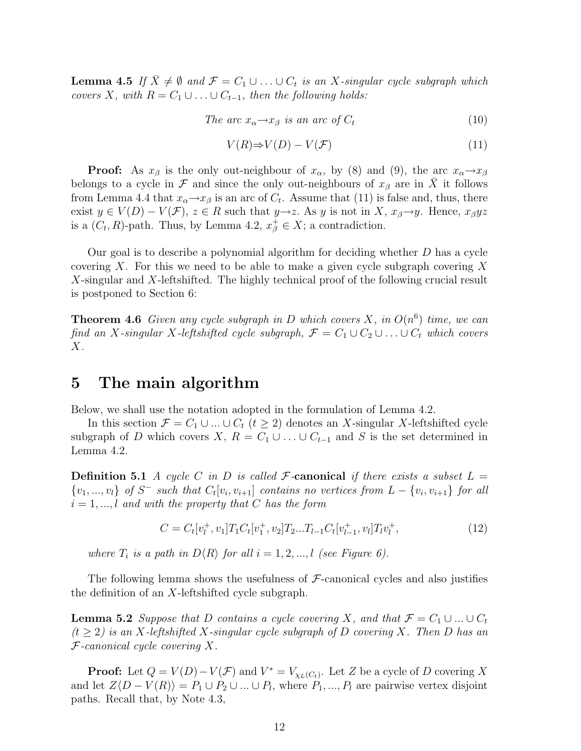**Lemma 4.5** If  $\bar{X} \neq \emptyset$  and  $\mathcal{F} = C_1 \cup ... \cup C_t$  is an X-singular cycle subgraph which covers X, with  $R = C_1 \cup ... \cup C_{t-1}$ , then the following holds:

The arc 
$$
x_{\alpha} \rightarrow x_{\beta}
$$
 is an arc of  $C_t$  (10)

$$
V(R) \Rightarrow V(D) - V(\mathcal{F})
$$
\n<sup>(11)</sup>

**Proof:** As  $x_\beta$  is the only out-neighbour of  $x_\alpha$ , by (8) and (9), the arc  $x_\alpha \rightarrow x_\beta$ belongs to a cycle in F and since the only out-neighbours of  $x_\beta$  are in  $\overline{X}$  it follows from Lemma 4.4 that  $x_{\alpha} \rightarrow x_{\beta}$  is an arc of  $C_t$ . Assume that (11) is false and, thus, there exist  $y \in V(D) - V(\mathcal{F}), z \in R$  such that  $y \to z$ . As y is not in X,  $x_{\beta} \to y$ . Hence,  $x_{\beta}yz$ is a  $(C_t, R)$ -path. Thus, by Lemma 4.2,  $x^+_\beta \in X$ ; a contradiction.

Our goal is to describe a polynomial algorithm for deciding whether D has a cycle covering X. For this we need to be able to make a given cycle subgraph covering X X-singular and X-leftshifted. The highly technical proof of the following crucial result is postponed to Section 6:

**Theorem 4.6** Given any cycle subgraph in D which covers X, in  $O(n^6)$  time, we can find an X-singular X-leftshifted cycle subgraph,  $\mathcal{F} = C_1 \cup C_2 \cup ... \cup C_t$  which covers  $X$ .

### 5 The main algorithm

Below, we shall use the notation adopted in the formulation of Lemma 4.2.

In this section  $\mathcal{F} = C_1 \cup ... \cup C_t$   $(t \geq 2)$  denotes an X-singular X-leftshifted cycle subgraph of D which covers X,  $R = C_1 \cup ... \cup C_{t-1}$  and S is the set determined in Lemma 4.2.

**Definition 5.1** A cycle C in D is called F-canonical if there exists a subset  $L =$  $\{v_1, ..., v_l\}$  of  $S^-$  such that  $C_t[v_i, v_{i+1}]$  contains no vertices from  $L - \{v_i, v_{i+1}\}$  for all  $i = 1, \ldots, l$  and with the property that C has the form

$$
C = C_t[v_l^+, v_1]T_1C_t[v_1^+, v_2]T_2...T_{l-1}C_t[v_{l-1}^+, v_l]T_lv_l^+, \qquad (12)
$$

where  $T_i$  is a path in  $D\langle R\rangle$  for all  $i = 1, 2, ..., l$  (see Figure 6).

The following lemma shows the usefulness of  $\mathcal F$ -canonical cycles and also justifies the definition of an X-leftshifted cycle subgraph.

**Lemma 5.2** Suppose that D contains a cycle covering X, and that  $\mathcal{F} = C_1 \cup ... \cup C_t$  $(t \geq 2)$  is an X-leftshifted X-singular cycle subgraph of D covering X. Then D has an  $F$ -canonical cycle covering X.

**Proof:** Let  $Q = V(D) - V(\mathcal{F})$  and  $V^* = V_{\chi_L(C_t)}$ . Let Z be a cycle of D covering X and let  $Z\langle D-V(R)\rangle = P_1\cup P_2\cup...\cup P_l$ , where  $P_1,...,P_l$  are pairwise vertex disjoint paths. Recall that, by Note 4.3,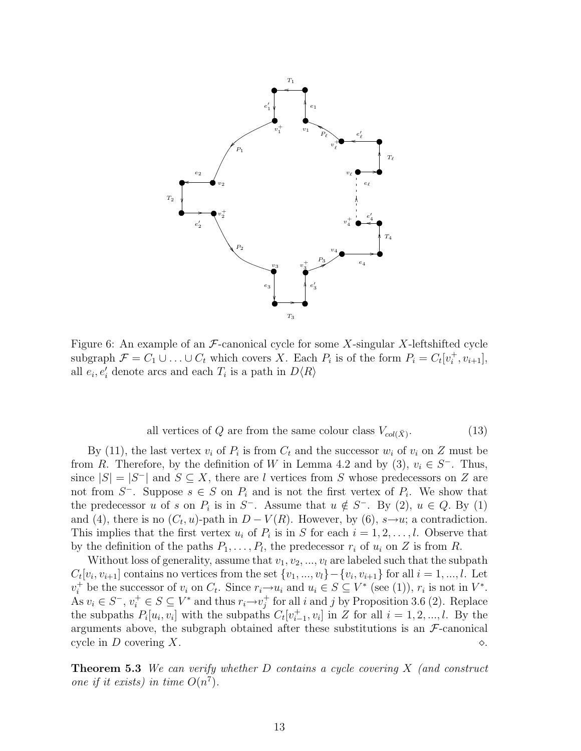

Figure 6: An example of an  $\mathcal F$ -canonical cycle for some X-singular X-leftshifted cycle subgraph  $\mathcal{F} = C_1 \cup ... \cup C_t$  which covers X. Each  $P_i$  is of the form  $P_i = C_t[v_i^+, v_{i+1}],$ all  $e_i, e'_i$  denote arcs and each  $T_i$  is a path in  $D\langle R\rangle$ 

all vertices of 
$$
Q
$$
 are from the same colour class  $V_{col}(\bar{X})$ . (13)

By (11), the last vertex  $v_i$  of  $P_i$  is from  $C_t$  and the successor  $w_i$  of  $v_i$  on Z must be from R. Therefore, by the definition of W in Lemma 4.2 and by (3),  $v_i \in S^-$ . Thus, since  $|S| = |S^-|$  and  $S \subseteq X$ , there are l vertices from S whose predecessors on Z are not from  $S^-$ . Suppose  $s \in S$  on  $P_i$  and is not the first vertex of  $P_i$ . We show that the predecessor u of s on  $P_i$  is in  $S^-$ . Assume that  $u \notin S^-$ . By (2),  $u \in Q$ . By (1) and (4), there is no  $(C_t, u)$ -path in  $D - V(R)$ . However, by (6),  $s \rightarrow u$ ; a contradiction. This implies that the first vertex  $u_i$  of  $P_i$  is in S for each  $i = 1, 2, \ldots, l$ . Observe that by the definition of the paths  $P_1, \ldots, P_l$ , the predecessor  $r_i$  of  $u_i$  on Z is from R.

Without loss of generality, assume that  $v_1, v_2, ..., v_l$  are labeled such that the subpath  $C_t[v_i, v_{i+1}]$  contains no vertices from the set  $\{v_1, ..., v_l\} - \{v_i, v_{i+1}\}$  for all  $i = 1, ..., l$ . Let  $v_i^+$  be the successor of  $v_i$  on  $C_t$ . Since  $r_i \rightarrow u_i$  and  $u_i \in S \subseteq V^*$  (see (1)),  $r_i$  is not in  $V^*$ . As  $v_i \in S^-$ ,  $v_i^+ \in S \subseteq V^*$  and thus  $r_i \rightarrow v_j^+$  for all i and j by Proposition 3.6 (2). Replace the subpaths  $P_i[u_i, v_i]$  with the subpaths  $C_t[v_{i-1}^+, v_i]$  in Z for all  $i = 1, 2, ..., l$ . By the arguments above, the subgraph obtained after these substitutions is an  $\mathcal{F}\text{-}$ canonical cycle in D covering X.  $\Diamond$ .

**Theorem 5.3** We can verify whether D contains a cycle covering  $X$  (and construct one if it exists) in time  $O(n^7)$ .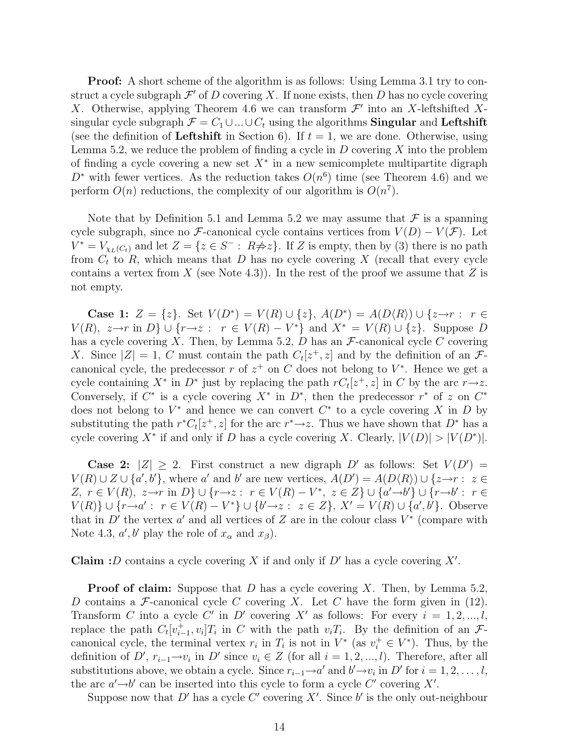Proof: A short scheme of the algorithm is as follows: Using Lemma 3.1 try to construct a cycle subgraph  $\mathcal{F}'$  of D covering X. If none exists, then D has no cycle covering X. Otherwise, applying Theorem 4.6 we can transform  $\mathcal{F}'$  into an X-leftshifted Xsingular cycle subgraph  $\mathcal{F} = C_1 \cup ... \cup C_t$  using the algorithms **Singular** and **Leftshift** (see the definition of Leftshift in Section 6). If  $t = 1$ , we are done. Otherwise, using Lemma 5.2, we reduce the problem of finding a cycle in  $D$  covering  $X$  into the problem of finding a cycle covering a new set  $X^*$  in a new semicomplete multipartite digraph  $D^*$  with fewer vertices. As the reduction takes  $O(n^6)$  time (see Theorem 4.6) and we perform  $O(n)$  reductions, the complexity of our algorithm is  $O(n^7)$ .

Note that by Definition 5.1 and Lemma 5.2 we may assume that  $\mathcal F$  is a spanning cycle subgraph, since no F-canonical cycle contains vertices from  $V(D) - V(\mathcal{F})$ . Let  $V^* = V_{\chi_L(C_t)}$  and let  $Z = \{z \in S^- : R \neq z\}$ . If Z is empty, then by (3) there is no path from  $C_t$  to  $R$ , which means that  $D$  has no cycle covering  $X$  (recall that every cycle contains a vertex from X (see Note 4.3)). In the rest of the proof we assume that Z is not empty.

Case 1:  $Z = \{z\}$ . Set  $V(D^*) = V(R) \cup \{z\}$ ,  $A(D^*) = A(D\langle R \rangle) \cup \{z \rightarrow r : r \in$  $V(R)$ ,  $z \rightarrow r$  in  $D$ }  $\cup$  { $r \rightarrow z$  :  $r \in V(R) - V^*$ } and  $X^* = V(R) \cup \{z\}$ . Suppose D has a cycle covering X. Then, by Lemma 5.2, D has an  $\mathcal{F}\text{-}$ canonical cycle C covering X. Since  $|Z|=1$ , C must contain the path  $C_t[z^+,z]$  and by the definition of an  $\mathcal{F}$ canonical cycle, the predecessor r of  $z^+$  on C does not belong to  $V^*$ . Hence we get a cycle containing  $X^*$  in  $D^*$  just by replacing the path  $rC_t[z^+,z]$  in C by the arc  $r\rightarrow z$ . Conversely, if  $C^*$  is a cycle covering  $X^*$  in  $D^*$ , then the predecessor  $r^*$  of z on  $C^*$ does not belong to  $V^*$  and hence we can convert  $C^*$  to a cycle covering X in D by substituting the path  $r^*C_t[z^+,z]$  for the arc  $r^*\rightarrow z$ . Thus we have shown that  $D^*$  has a cycle covering  $X^*$  if and only if D has a cycle covering X. Clearly,  $|V(D)| > |V(D^*)|$ .

**Case 2:**  $|Z| \geq 2$ . First construct a new digraph D' as follows: Set  $V(D') =$  $V(R) \cup Z \cup \{a',b'\},\$  where a' and b' are new vertices,  $A(D') = A(D\langle R \rangle) \cup \{z \rightarrow r : z \in R\}$ Z,  $r \in V(R)$ ,  $z \rightarrow r$  in  $D$ }  $\cup$  { $r \rightarrow z$  :  $r \in V(R) - V^*$ ,  $z \in Z$ }  $\cup$  { $a' \rightarrow b'$ }  $\cup$  { $r \rightarrow b'$  :  $r \in$  $V(R)$   $\cup$  { $r \to a'$  :  $r \in V(R) - V^*$ }  $\cup$  { $b' \to z$  :  $z \in Z$ },  $X' = V(R) \cup \{a', b'\}$ . Observe that in D' the vertex  $a'$  and all vertices of Z are in the colour class  $V^*$  (compare with Note 4.3,  $a', b'$  play the role of  $x_\alpha$  and  $x_\beta$ ).

**Claim :** D contains a cycle covering X if and only if  $D'$  has a cycle covering  $X'$ .

**Proof of claim:** Suppose that  $D$  has a cycle covering  $X$ . Then, by Lemma 5.2, D contains a F-canonical cycle C covering X. Let C have the form given in  $(12)$ . Transform C into a cycle C' in D' covering X' as follows: For every  $i = 1, 2, ..., l$ , replace the path  $C_t[v_{i-1}^+, v_i]T_i$  in C with the path  $v_iT_i$ . By the definition of an  $\mathcal{F}$ canonical cycle, the terminal vertex  $r_i$  in  $T_i$  is not in  $V^*$  (as  $v_i^+ \in V^*$ ). Thus, by the definition of D',  $r_{i-1} \rightarrow v_i$  in D' since  $v_i \in Z$  (for all  $i = 1, 2, ..., l$ ). Therefore, after all substitutions above, we obtain a cycle. Since  $r_{i-1} \to a'$  and  $b' \to v_i$  in D' for  $i = 1, 2, \ldots, l$ , the arc  $a' \rightarrow b'$  can be inserted into this cycle to form a cycle C' covering X'.

Suppose now that D' has a cycle C' covering  $X'$ . Since b' is the only out-neighbour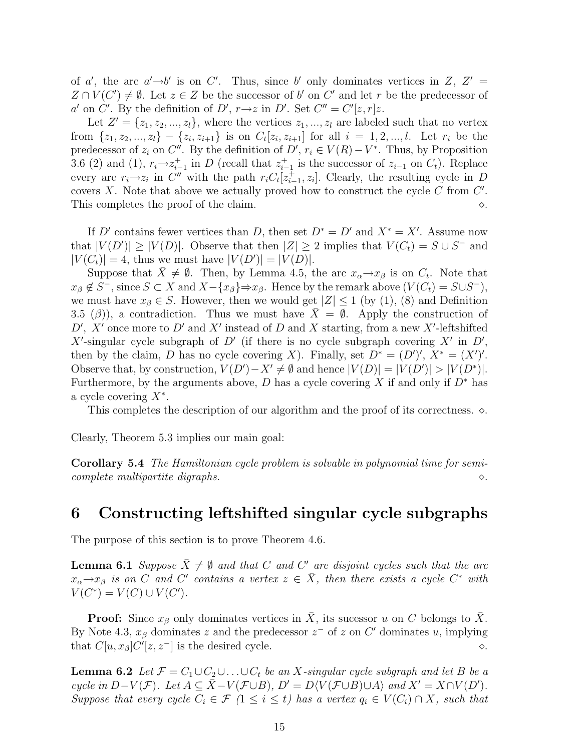of a', the arc  $a' \rightarrow b'$  is on C'. Thus, since b' only dominates vertices in Z, Z' =  $Z \cap V(C') \neq \emptyset$ . Let  $z \in Z$  be the successor of b' on C' and let r be the predecessor of a' on C'. By the definition of D',  $r \rightarrow z$  in D'. Set  $C'' = C'[z, r]z$ .

Let  $Z' = \{z_1, z_2, ..., z_l\}$ , where the vertices  $z_1, ..., z_l$  are labeled such that no vertex from  $\{z_1, z_2, ..., z_l\} - \{z_i, z_{i+1}\}$  is on  $C_t[z_i, z_{i+1}]$  for all  $i = 1, 2, ..., l$ . Let  $r_i$  be the predecessor of  $z_i$  on  $C''$ . By the definition of  $D'$ ,  $r_i \in V(R) - V^*$ . Thus, by Proposition 3.6 (2) and (1),  $r_i \rightarrow z_{i-1}^+$  in D (recall that  $z_{i-1}^+$  is the successor of  $z_{i-1}$  on  $C_t$ ). Replace every arc  $r_i \rightarrow z_i$  in C'' with the path  $r_i C_t[z_{i-1}^+, z_i]$ . Clearly, the resulting cycle in D covers  $X$ . Note that above we actually proved how to construct the cycle  $C$  from  $C'$ . This completes the proof of the claim.  $\Diamond$ .

If D' contains fewer vertices than D, then set  $D^* = D'$  and  $X^* = X'$ . Assume now that  $|V(D')| \geq |V(D)|$ . Observe that then  $|Z| \geq 2$  implies that  $V(C_t) = S \cup S^-$  and  $|V(C_t)| = 4$ , thus we must have  $|V(D')| = |V(D)|$ .

Suppose that  $\bar{X} \neq \emptyset$ . Then, by Lemma 4.5, the arc  $x_{\alpha} \rightarrow x_{\beta}$  is on  $C_t$ . Note that  $x_{\beta} \notin S^-$ , since  $S \subset X$  and  $X - \{x_{\beta}\}\Rightarrow x_{\beta}$ . Hence by the remark above  $(V(C_t) = S \cup S^-)$ , we must have  $x_{\beta} \in S$ . However, then we would get  $|Z| \leq 1$  (by (1), (8) and Definition 3.5 ( $\beta$ )), a contradiction. Thus we must have  $\overline{X} = \emptyset$ . Apply the construction of  $D'$ , X' once more to  $D'$  and X' instead of D and X starting, from a new X'-leftshifted X'-singular cycle subgraph of D' (if there is no cycle subgraph covering  $X'$  in D', then by the claim, D has no cycle covering X). Finally, set  $D^* = (D')'$ ,  $X^* = (X')'$ . Observe that, by construction,  $V(D') - X' \neq \emptyset$  and hence  $|V(D)| = |V(D')| > |V(D^*)|$ . Furthermore, by the arguments above, D has a cycle covering X if and only if  $D^*$  has a cycle covering  $X^*$ .

This completes the description of our algorithm and the proof of its correctness.  $\Diamond$ .

Clearly, Theorem 5.3 implies our main goal:

Corollary 5.4 The Hamiltonian cycle problem is solvable in polynomial time for semicomplete multipartite digraphs.  $\Diamond$ .

## 6 Constructing leftshifted singular cycle subgraphs

The purpose of this section is to prove Theorem 4.6.

**Lemma 6.1** Suppose  $\bar{X} \neq \emptyset$  and that C and C' are disjoint cycles such that the arc  $x_{\alpha} \rightarrow x_{\beta}$  is on C and C' contains a vertex  $z \in \overline{X}$ , then there exists a cycle C<sup>\*</sup> with  $V(C^*) = V(C) \cup V(C').$ 

**Proof:** Since  $x_{\beta}$  only dominates vertices in  $\overline{X}$ , its sucessor u on C belongs to  $\overline{X}$ . By Note 4.3,  $x_{\beta}$  dominates z and the predecessor  $z^-$  of z on C' dominates u, implying that  $C[u, x_{\beta}]C'[z, z^-]$  is the desired cycle.  $\diamond$ .

**Lemma 6.2** Let  $\mathcal{F} = C_1 \cup C_2 \cup \ldots \cup C_t$  be an X-singular cycle subgraph and let B be a cycle in  $D-V(\mathcal{F})$ . Let  $A \subseteq \overline{X} - V(\mathcal{F} \cup B)$ ,  $D' = D\langle V(\mathcal{F} \cup B) \cup A \rangle$  and  $X' = X \cap V(D')$ . Suppose that every cycle  $C_i \in \mathcal{F}$   $(1 \leq i \leq t)$  has a vertex  $q_i \in V(C_i) \cap X$ , such that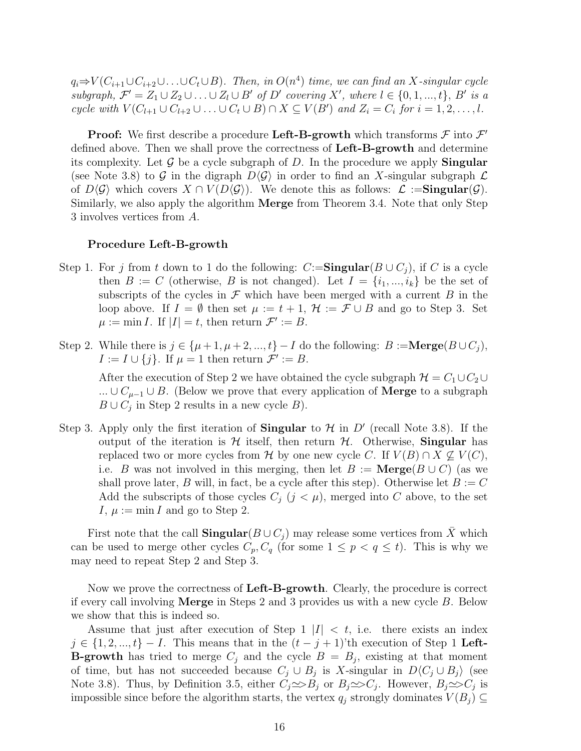$q_i \Rightarrow V(C_{i+1} \cup C_{i+2} \cup \ldots \cup C_t \cup B)$ . Then, in  $O(n^4)$  time, we can find an X-singular cycle subgraph,  $\mathcal{F}' = Z_1 \cup Z_2 \cup \ldots \cup Z_l \cup B'$  of D' covering X', where  $l \in \{0, 1, ..., t\}$ , B' is a cycle with  $V(C_{l+1} \cup C_{l+2} \cup \ldots \cup C_t \cup B) \cap X \subseteq V(B')$  and  $Z_i = C_i$  for  $i = 1, 2, \ldots, l$ .

**Proof:** We first describe a procedure Left-B-growth which transforms  $\mathcal F$  into  $\mathcal F'$ defined above. Then we shall prove the correctness of Left-B-growth and determine its complexity. Let  $\mathcal G$  be a cycle subgraph of D. In the procedure we apply **Singular** (see Note 3.8) to G in the digraph  $D\langle\mathcal{G}\rangle$  in order to find an X-singular subgraph  $\mathcal L$ of  $D\langle\mathcal{G}\rangle$  which covers  $X \cap V(D\langle\mathcal{G}\rangle)$ . We denote this as follows:  $\mathcal{L} := \mathbf{Singular}(\mathcal{G})$ . Similarly, we also apply the algorithm Merge from Theorem 3.4. Note that only Step 3 involves vertices from A.

#### Procedure Left-B-growth

- Step 1. For j from t down to 1 do the following:  $C:=\textbf{Singular}(B\cup C_i)$ , if C is a cycle then  $B := C$  (otherwise, B is not changed). Let  $I = \{i_1, ..., i_k\}$  be the set of subscripts of the cycles in  $\mathcal F$  which have been merged with a current  $B$  in the loop above. If  $I = \emptyset$  then set  $\mu := t + 1$ ,  $\mathcal{H} := \mathcal{F} \cup B$  and go to Step 3. Set  $\mu := \min I$ . If  $|I| = t$ , then return  $\mathcal{F}' := B$ .
- Step 2. While there is  $j \in {\mu+1, \mu+2, ..., t} I$  do the following:  $B := \textbf{Merge}(B \cup C_j)$ ,  $I := I \cup \{j\}$ . If  $\mu = 1$  then return  $\mathcal{F}' := B$ .

After the execution of Step 2 we have obtained the cycle subgraph  $\mathcal{H} = C_1 \cup C_2 \cup$ ... ∪  $C_{\mu-1}$  ∪ B. (Below we prove that every application of **Merge** to a subgraph  $B \cup C_j$  in Step 2 results in a new cycle B).

Step 3. Apply only the first iteration of **Singular** to  $\mathcal{H}$  in  $D'$  (recall Note 3.8). If the output of the iteration is  $H$  itself, then return  $H$ . Otherwise, **Singular** has replaced two or more cycles from H by one new cycle C. If  $V(B) \cap X \nsubseteq V(C)$ , i.e. B was not involved in this merging, then let  $B := \mathbf{Merge}(B \cup C)$  (as we shall prove later, B will, in fact, be a cycle after this step). Otherwise let  $B := C$ Add the subscripts of those cycles  $C_j$   $(j < \mu)$ , merged into C above, to the set I,  $\mu := \min I$  and go to Step 2.

First note that the call  $\mathbf{Singular}(B\cup C_i)$  may release some vertices from X which can be used to merge other cycles  $C_p, C_q$  (for some  $1 \leq p < q \leq t$ ). This is why we may need to repeat Step 2 and Step 3.

Now we prove the correctness of Left-B-growth. Clearly, the procedure is correct if every call involving Merge in Steps 2 and 3 provides us with a new cycle B. Below we show that this is indeed so.

Assume that just after execution of Step 1  $|I| < t$ , i.e. there exists an index  $j \in \{1, 2, ..., t\} - I$ . This means that in the  $(t - j + 1)$ 'th execution of Step 1 Left-**B-growth** has tried to merge  $C_j$  and the cycle  $B = B_j$ , existing at that moment of time, but has not succeeded because  $C_j \cup B_j$  is X-singular in  $D\langle C_j \cup B_j \rangle$  (see Note 3.8). Thus, by Definition 3.5, either  $C_j \implies B_j$  or  $B_j \implies C_j$ . However,  $B_j \implies C_j$  is impossible since before the algorithm starts, the vertex  $q_j$  strongly dominates  $V(B_j) \subseteq$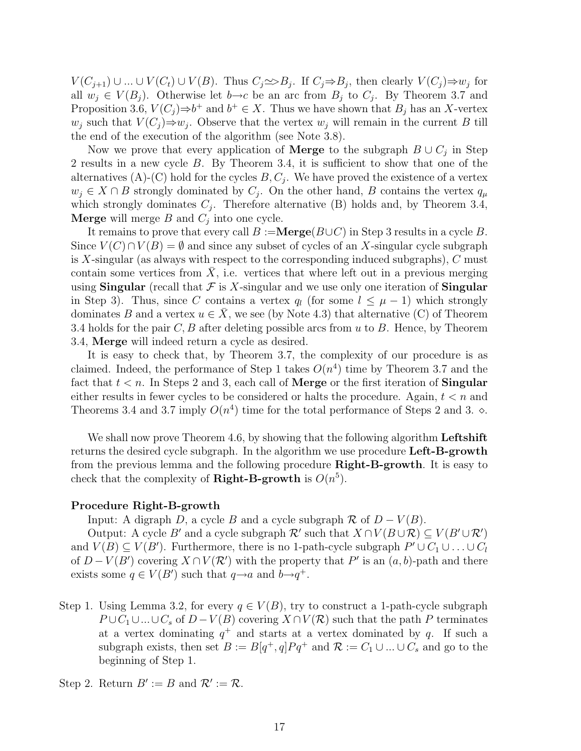$V(C_{j+1}) \cup ... \cup V(C_t) \cup V(B)$ . Thus  $C_j \implies B_j$ . If  $C_j \implies B_j$ , then clearly  $V(C_j) \implies w_j$  for all  $w_j \in V(B_j)$ . Otherwise let  $b \rightarrow c$  be an arc from  $B_j$  to  $C_j$ . By Theorem 3.7 and Proposition 3.6,  $V(C_j) \Rightarrow b^+$  and  $b^+ \in X$ . Thus we have shown that  $B_j$  has an X-vertex  $w_j$  such that  $V(C_j) \Rightarrow w_j$ . Observe that the vertex  $w_j$  will remain in the current B till the end of the execution of the algorithm (see Note 3.8).

Now we prove that every application of **Merge** to the subgraph  $B \cup C_j$  in Step 2 results in a new cycle B. By Theorem 3.4, it is sufficient to show that one of the alternatives  $(A)$ - $(C)$  hold for the cycles  $B, C_j$ . We have proved the existence of a vertex  $w_j \in X \cap B$  strongly dominated by  $C_j$ . On the other hand, B contains the vertex  $q_\mu$ which strongly dominates  $C_j$ . Therefore alternative (B) holds and, by Theorem 3.4, **Merge** will merge  $B$  and  $C_j$  into one cycle.

It remains to prove that every call  $B := \textbf{Merge}(B \cup C)$  in Step 3 results in a cycle B. Since  $V(C) \cap V(B) = \emptyset$  and since any subset of cycles of an X-singular cycle subgraph is  $X$ -singular (as always with respect to the corresponding induced subgraphs),  $C$  must contain some vertices from  $X$ , i.e. vertices that where left out in a previous merging using Singular (recall that  $\mathcal F$  is X-singular and we use only one iteration of Singular in Step 3). Thus, since C contains a vertex  $q_l$  (for some  $l \leq \mu - 1$ ) which strongly dominates B and a vertex  $u \in \overline{X}$ , we see (by Note 4.3) that alternative (C) of Theorem 3.4 holds for the pair  $C, B$  after deleting possible arcs from u to B. Hence, by Theorem 3.4, Merge will indeed return a cycle as desired.

It is easy to check that, by Theorem 3.7, the complexity of our procedure is as claimed. Indeed, the performance of Step 1 takes  $O(n^4)$  time by Theorem 3.7 and the fact that  $t < n$ . In Steps 2 and 3, each call of **Merge** or the first iteration of **Singular** either results in fewer cycles to be considered or halts the procedure. Again,  $t < n$  and Theorems 3.4 and 3.7 imply  $O(n^4)$  time for the total performance of Steps 2 and 3.  $\diamond$ .

We shall now prove Theorem 4.6, by showing that the following algorithm **Leftshift** returns the desired cycle subgraph. In the algorithm we use procedure Left-B-growth from the previous lemma and the following procedure Right-B-growth. It is easy to check that the complexity of **Right-B-growth** is  $O(n^5)$ .

### Procedure Right-B-growth

Input: A digraph D, a cycle B and a cycle subgraph  $\mathcal R$  of  $D - V(B)$ .

Output: A cycle B' and a cycle subgraph  $\mathcal{R}'$  such that  $X \cap V(B \cup \mathcal{R}) \subseteq V(B' \cup \mathcal{R}')$ and  $V(B) \subseteq V(B')$ . Furthermore, there is no 1-path-cycle subgraph  $P' \cup C_1 \cup ... \cup C_l$ of  $D-V(B')$  covering  $X \cap V(\mathcal{R}')$  with the property that P' is an  $(a, b)$ -path and there exists some  $q \in V(B')$  such that  $q \rightarrow a$  and  $b \rightarrow q^+$ .

Step 1. Using Lemma 3.2, for every  $q \in V(B)$ , try to construct a 1-path-cycle subgraph  $P \cup C_1 \cup ... \cup C_s$  of  $D-V(B)$  covering  $X \cap V(\mathcal{R})$  such that the path P terminates at a vertex dominating  $q^+$  and starts at a vertex dominated by q. If such a subgraph exists, then set  $B := B[q^+, q]Pq^+$  and  $\mathcal{R} := C_1 \cup ... \cup C_s$  and go to the beginning of Step 1.

Step 2. Return  $B' := B$  and  $\mathcal{R}' := \mathcal{R}$ .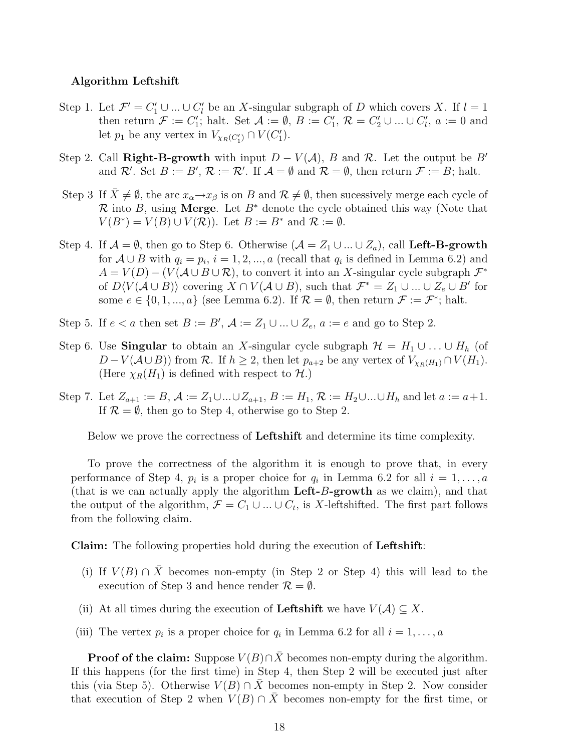#### Algorithm Leftshift

- Step 1. Let  $\mathcal{F}' = C'_1 \cup ... \cup C'_l$  be an X-singular subgraph of D which covers X. If  $l = 1$ then return  $\mathcal{F} := C'_1$ ; halt. Set  $\mathcal{A} := \emptyset$ ,  $B := C'_1$ ,  $\mathcal{R} = C'_2 \cup ... \cup C'_l$ ,  $a := 0$  and let  $p_1$  be any vertex in  $V_{\chi_R(C'_1)} \cap V(C'_1)$ .
- Step 2. Call Right-B-growth with input  $D V(A)$ , B and R. Let the output be B' and R'. Set  $B := B'$ ,  $\mathcal{R} := \mathcal{R}'$ . If  $\mathcal{A} = \emptyset$  and  $\mathcal{R} = \emptyset$ , then return  $\mathcal{F} := B$ ; halt.
- Step 3 If  $\bar{X} \neq \emptyset$ , the arc  $x_{\alpha} \rightarrow x_{\beta}$  is on B and  $\mathcal{R} \neq \emptyset$ , then sucessively merge each cycle of R into B, using Merge. Let  $B^*$  denote the cycle obtained this way (Note that  $V(B^*) = V(B) \cup V(\mathcal{R})$ . Let  $B := B^*$  and  $\mathcal{R} := \emptyset$ .
- Step 4. If  $\mathcal{A} = \emptyset$ , then go to Step 6. Otherwise  $(\mathcal{A} = Z_1 \cup ... \cup Z_a)$ , call **Left-B-growth** for  $A \cup B$  with  $q_i = p_i$ ,  $i = 1, 2, ..., a$  (recall that  $q_i$  is defined in Lemma 6.2) and  $A = V(D) - (V(A \cup B \cup \mathcal{R})$ , to convert it into an X-singular cycle subgraph  $\mathcal{F}^*$ of  $D\langle V(\mathcal{A}\cup B)\rangle$  covering  $X\cap V(\mathcal{A}\cup B)$ , such that  $\mathcal{F}^*=Z_1\cup...\cup Z_e\cup B'$  for some  $e \in \{0, 1, ..., a\}$  (see Lemma 6.2). If  $\mathcal{R} = \emptyset$ , then return  $\mathcal{F} := \mathcal{F}^*$ ; halt.
- Step 5. If  $e < a$  then set  $B := B'$ ,  $\mathcal{A} := Z_1 \cup ... \cup Z_e$ ,  $a := e$  and go to Step 2.
- Step 6. Use **Singular** to obtain an X-singular cycle subgraph  $\mathcal{H} = H_1 \cup ... \cup H_h$  (of  $D-V(\mathcal{A}\cup B)$  from  $\mathcal{R}$ . If  $h\geq 2$ , then let  $p_{a+2}$  be any vertex of  $V_{\chi_R(H_1)}\cap V(H_1)$ . (Here  $\chi_R(H_1)$  is defined with respect to  $\mathcal{H}$ .)
- Step 7. Let  $Z_{a+1} := B, A := Z_1 \cup ... \cup Z_{a+1}, B := H_1, R := H_2 \cup ... \cup H_h$  and let  $a := a+1$ . If  $\mathcal{R} = \emptyset$ , then go to Step 4, otherwise go to Step 2.

Below we prove the correctness of Leftshift and determine its time complexity.

To prove the correctness of the algorithm it is enough to prove that, in every performance of Step 4,  $p_i$  is a proper choice for  $q_i$  in Lemma 6.2 for all  $i = 1, \ldots, a$ (that is we can actually apply the algorithm  $\text{Left-}B\text{-growth}$  as we claim), and that the output of the algorithm,  $\mathcal{F} = C_1 \cup ... \cup C_t$ , is X-leftshifted. The first part follows from the following claim.

Claim: The following properties hold during the execution of Leftshift:

- (i) If  $V(B) \cap \overline{X}$  becomes non-empty (in Step 2 or Step 4) this will lead to the execution of Step 3 and hence render  $\mathcal{R} = \emptyset$ .
- (ii) At all times during the execution of **Leftshift** we have  $V(A) \subseteq X$ .
- (iii) The vertex  $p_i$  is a proper choice for  $q_i$  in Lemma 6.2 for all  $i = 1, ..., a$

**Proof of the claim:** Suppose  $V(B) \cap \overline{X}$  becomes non-empty during the algorithm. If this happens (for the first time) in Step 4, then Step 2 will be executed just after this (via Step 5). Otherwise  $V(B) \cap X$  becomes non-empty in Step 2. Now consider that execution of Step 2 when  $V(B) \cap \overline{X}$  becomes non-empty for the first time, or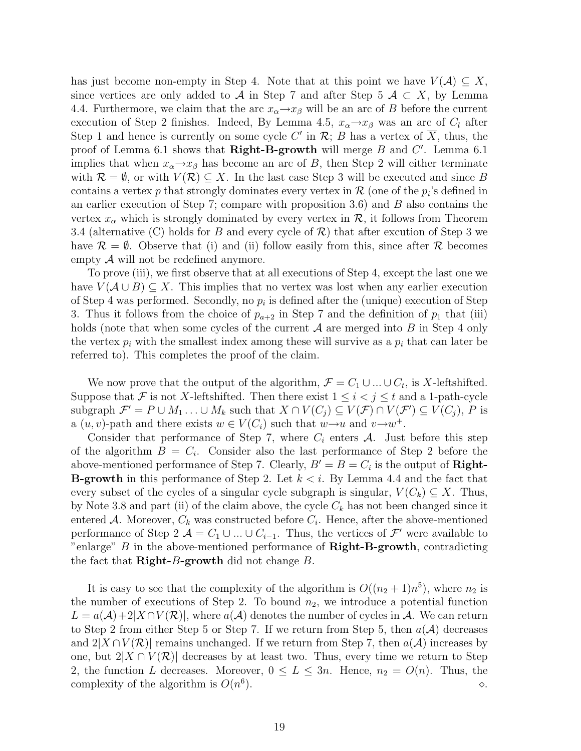has just become non-empty in Step 4. Note that at this point we have  $V(A) \subseteq X$ , since vertices are only added to A in Step 7 and after Step 5  $\mathcal{A} \subset X$ , by Lemma 4.4. Furthermore, we claim that the arc  $x_{\alpha} \rightarrow x_{\beta}$  will be an arc of B before the current execution of Step 2 finishes. Indeed, By Lemma 4.5,  $x_{\alpha} \rightarrow x_{\beta}$  was an arc of  $C_l$  after Step 1 and hence is currently on some cycle C' in  $\mathcal{R}; B$  has a vertex of  $\overline{X}$ , thus, the proof of Lemma 6.1 shows that **Right-B-growth** will merge  $B$  and  $C'$ . Lemma 6.1 implies that when  $x_{\alpha} \rightarrow x_{\beta}$  has become an arc of B, then Step 2 will either terminate with  $\mathcal{R} = \emptyset$ , or with  $V(\mathcal{R}) \subseteq X$ . In the last case Step 3 will be executed and since B contains a vertex p that strongly dominates every vertex in  $\mathcal R$  (one of the  $p_i$ 's defined in an earlier execution of Step 7; compare with proposition  $3.6$ ) and  $B$  also contains the vertex  $x_{\alpha}$  which is strongly dominated by every vertex in  $\mathcal{R}$ , it follows from Theorem 3.4 (alternative (C) holds for B and every cycle of  $\mathcal{R}$ ) that after excution of Step 3 we have  $\mathcal{R} = \emptyset$ . Observe that (i) and (ii) follow easily from this, since after  $\mathcal{R}$  becomes empty  $A$  will not be redefined anymore.

To prove (iii), we first observe that at all executions of Step 4, except the last one we have  $V(A\cup B)\subseteq X$ . This implies that no vertex was lost when any earlier execution of Step 4 was performed. Secondly, no  $p_i$  is defined after the (unique) execution of Step 3. Thus it follows from the choice of  $p_{a+2}$  in Step 7 and the definition of  $p_1$  that (iii) holds (note that when some cycles of the current  $A$  are merged into  $B$  in Step 4 only the vertex  $p_i$  with the smallest index among these will survive as a  $p_i$  that can later be referred to). This completes the proof of the claim.

We now prove that the output of the algorithm,  $\mathcal{F} = C_1 \cup ... \cup C_t$ , is X-leftshifted. Suppose that F is not X-leftshifted. Then there exist  $1 \leq i < j \leq t$  and a 1-path-cycle subgraph  $\mathcal{F}' = P \cup M_1 \ldots \cup M_k$  such that  $X \cap V(C_j) \subseteq V(\mathcal{F}) \cap V(\mathcal{F}') \subseteq V(C_j)$ , P is a  $(u, v)$ -path and there exists  $w \in V(C_i)$  such that  $w \rightarrow u$  and  $v \rightarrow w^+$ .

Consider that performance of Step 7, where  $C_i$  enters  $A$ . Just before this step of the algorithm  $B = C_i$ . Consider also the last performance of Step 2 before the above-mentioned performance of Step 7. Clearly,  $B' = B = C_i$  is the output of **Right**-**B-growth** in this performance of Step 2. Let  $k < i$ . By Lemma 4.4 and the fact that every subset of the cycles of a singular cycle subgraph is singular,  $V(C_k) \subseteq X$ . Thus, by Note 3.8 and part (ii) of the claim above, the cycle  $C_k$  has not been changed since it entered A. Moreover,  $C_k$  was constructed before  $C_i$ . Hence, after the above-mentioned performance of Step 2  $\mathcal{A} = C_1 \cup ... \cup C_{i-1}$ . Thus, the vertices of  $\mathcal{F}'$  were available to "enlarge"  $B$  in the above-mentioned performance of  $\mathbf{Right-B}\text{-}\mathbf{growth}$ , contradicting the fact that  $\mathbf{Right}\text{-}B\text{-}\mathbf{growth}$  did not change  $B$ .

It is easy to see that the complexity of the algorithm is  $O((n_2 + 1)n^5)$ , where  $n_2$  is the number of executions of Step 2. To bound  $n_2$ , we introduce a potential function  $L = a(\mathcal{A}) + 2|X \cap V(\mathcal{R})|$ , where  $a(\mathcal{A})$  denotes the number of cycles in  $\mathcal{A}$ . We can return to Step 2 from either Step 5 or Step 7. If we return from Step 5, then  $a(\mathcal{A})$  decreases and  $2|X \cap V(\mathcal{R})|$  remains unchanged. If we return from Step 7, then  $a(\mathcal{A})$  increases by one, but  $2|X \cap V(\mathcal{R})|$  decreases by at least two. Thus, every time we return to Step 2, the function L decreases. Moreover,  $0 \le L \le 3n$ . Hence,  $n_2 = O(n)$ . Thus, the complexity of the algorithm is  $O(n^6)$ ).  $\Diamond$ .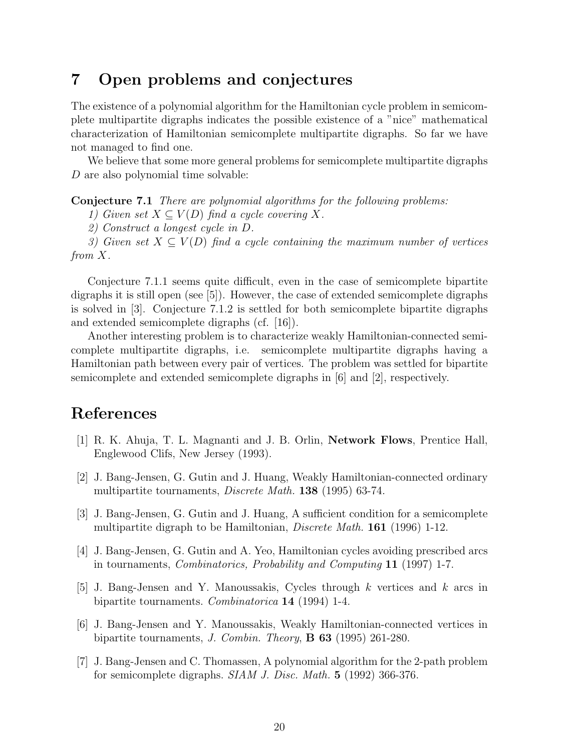## 7 Open problems and conjectures

The existence of a polynomial algorithm for the Hamiltonian cycle problem in semicomplete multipartite digraphs indicates the possible existence of a "nice" mathematical characterization of Hamiltonian semicomplete multipartite digraphs. So far we have not managed to find one.

We believe that some more general problems for semicomplete multipartite digraphs D are also polynomial time solvable:

Conjecture 7.1 There are polynomial algorithms for the following problems:

1) Given set  $X \subseteq V(D)$  find a cycle covering X.

2) Construct a longest cycle in D.

3) Given set  $X \subseteq V(D)$  find a cycle containing the maximum number of vertices from X.

Conjecture 7.1.1 seems quite difficult, even in the case of semicomplete bipartite digraphs it is still open (see [5]). However, the case of extended semicomplete digraphs is solved in [3]. Conjecture 7.1.2 is settled for both semicomplete bipartite digraphs and extended semicomplete digraphs (cf. [16]).

Another interesting problem is to characterize weakly Hamiltonian-connected semicomplete multipartite digraphs, i.e. semicomplete multipartite digraphs having a Hamiltonian path between every pair of vertices. The problem was settled for bipartite semicomplete and extended semicomplete digraphs in [6] and [2], respectively.

## References

- [1] R. K. Ahuja, T. L. Magnanti and J. B. Orlin, Network Flows, Prentice Hall, Englewood Clifs, New Jersey (1993).
- [2] J. Bang-Jensen, G. Gutin and J. Huang, Weakly Hamiltonian-connected ordinary multipartite tournaments, Discrete Math. 138 (1995) 63-74.
- [3] J. Bang-Jensen, G. Gutin and J. Huang, A sufficient condition for a semicomplete multipartite digraph to be Hamiltonian, *Discrete Math.* **161** (1996) 1-12.
- [4] J. Bang-Jensen, G. Gutin and A. Yeo, Hamiltonian cycles avoiding prescribed arcs in tournaments, Combinatorics, Probability and Computing 11 (1997) 1-7.
- [5] J. Bang-Jensen and Y. Manoussakis, Cycles through k vertices and k arcs in bipartite tournaments. Combinatorica 14 (1994) 1-4.
- [6] J. Bang-Jensen and Y. Manoussakis, Weakly Hamiltonian-connected vertices in bipartite tournaments, J. Combin. Theory, B 63 (1995) 261-280.
- [7] J. Bang-Jensen and C. Thomassen, A polynomial algorithm for the 2-path problem for semicomplete digraphs. SIAM J. Disc. Math. 5 (1992) 366-376.